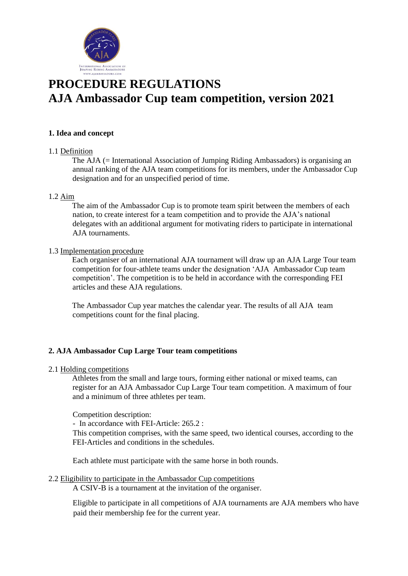

# **PROCEDURE REGULATIONS AJA Ambassador Cup team competition, version 2021**

## **1. Idea and concept**

#### 1.1 Definition

The AJA (= International Association of Jumping Riding Ambassadors) is organising an annual ranking of the AJA team competitions for its members, under the Ambassador Cup designation and for an unspecified period of time.

#### 1.2 Aim

The aim of the Ambassador Cup is to promote team spirit between the members of each nation, to create interest for a team competition and to provide the AJA's national delegates with an additional argument for motivating riders to participate in international AJA tournaments.

#### 1.3 Implementation procedure

Each organiser of an international AJA tournament will draw up an AJA Large Tour team competition for four-athlete teams under the designation 'AJA Ambassador Cup team competition'. The competition is to be held in accordance with the corresponding FEI articles and these AJA regulations.

The Ambassador Cup year matches the calendar year. The results of all AJA team competitions count for the final placing.

# **2. AJA Ambassador Cup Large Tour team competitions**

#### 2.1 Holding competitions

Athletes from the small and large tours, forming either national or mixed teams, can register for an AJA Ambassador Cup Large Tour team competition. A maximum of four and a minimum of three athletes per team.

Competition description:

- In accordance with FEI-Article: 265.2 :

This competition comprises, with the same speed, two identical courses, according to the FEI-Articles and conditions in the schedules.

Each athlete must participate with the same horse in both rounds.

#### 2.2 Eligibility to participate in the Ambassador Cup competitions

A CSIV-B is a tournament at the invitation of the organiser.

Eligible to participate in all competitions of AJA tournaments are AJA members who have paid their membership fee for the current year.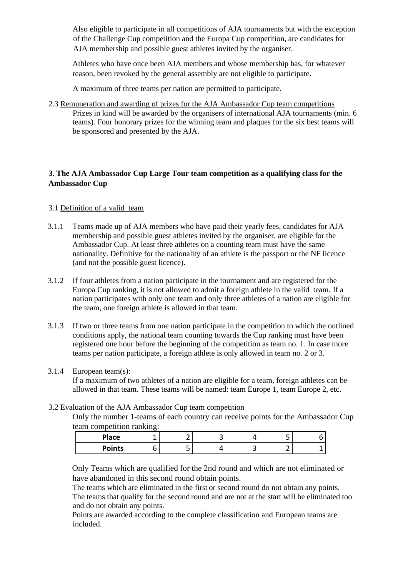Also eligible to participate in all competitions of AJA tournaments but with the exception of the Challenge Cup competition and the Europa Cup competition, are candidates for AJA membership and possible guest athletes invited by the organiser.

Athletes who have once been AJA members and whose membership has, for whatever reason, been revoked by the general assembly are not eligible to participate.

A maximum of three teams per nation are permitted to participate.

2.3 Remuneration and awarding of prizes for the AJA Ambassador Cup team competitions Prizes in kind will be awarded by the organisers of international AJA tournaments (min. 6 teams). Four honorary prizes for the winning team and plaques for the six best teams will be sponsored and presented by the AJA.

# **3. The AJA Ambassador Cup Large Tour team competition as a qualifying class for the Ambassador Cup**

# 3.1 Definition of a valid team

- 3.1.1 Teams made up of AJA members who have paid their yearly fees, candidates for AJA membership and possible guest athletes invited by the organiser, are eligible for the Ambassador Cup. At least three athletes on a counting team must have the same nationality. Definitive for the nationality of an athlete is the passport or the NF licence (and not the possible guest licence).
- 3.1.2 If four athletes from a nation participate in the tournament and are registered for the Europa Cup ranking, it is not allowed to admit a foreign athlete in the valid team. If a nation participates with only one team and only three athletes of a nation are eligible for the team, one foreign athlete is allowed in that team.
- 3.1.3 If two or three teams from one nation participate in the competition to which the outlined conditions apply, the national team counting towards the Cup ranking must have been registered one hour before the beginning of the competition as team no. 1. In case more teams per nation participate, a foreign athlete is only allowed in team no. 2 or 3.

# 3.1.4 European team(s):

If a maximum of two athletes of a nation are eligible for a team, foreign athletes can be allowed in that team. These teams will be named: team Europe 1, team Europe 2, etc.

# 3.2 Evaluation of the AJA Ambassador Cup team competition

Only the number 1-teams of each country can receive points for the Ambassador Cup team competition ranking:

| Place         |    | ـ |   | $\sim$<br>ے |  |
|---------------|----|---|---|-------------|--|
| <b>Points</b> | ــ |   | ٮ | -<br>-      |  |

Only Teams which are qualified for the 2nd round and which are not eliminated or have abandoned in this second round obtain points.

The teams which are eliminated in the first or second round do not obtain any points. The teams that qualify for the second round and are not at the start will be eliminated too and do not obtain any points.

Points are awarded according to the complete classification and European teams are included.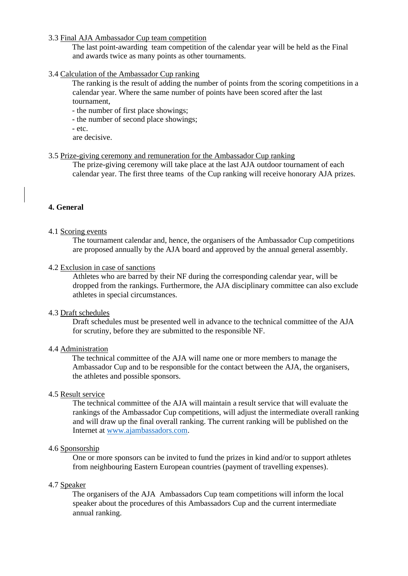#### 3.3 Final AJA Ambassador Cup team competition

The last point-awarding team competition of the calendar year will be held as the Final and awards twice as many points as other tournaments.

#### 3.4 Calculation of the Ambassador Cup ranking

The ranking is the result of adding the number of points from the scoring competitions in a calendar year. Where the same number of points have been scored after the last tournament,

- the number of first place showings;

- the number of second place showings;
- etc.
- are decisive.

#### 3.5 Prize-giving ceremony and remuneration for the Ambassador Cup ranking

The prize-giving ceremony will take place at the last AJA outdoor tournament of each calendar year. The first three teams of the Cup ranking will receive honorary AJA prizes.

# **4. General**

#### 4.1 Scoring events

The tournament calendar and, hence, the organisers of the Ambassador Cup competitions are proposed annually by the AJA board and approved by the annual general assembly.

4.2 Exclusion in case of sanctions

Athletes who are barred by their NF during the corresponding calendar year, will be dropped from the rankings. Furthermore, the AJA disciplinary committee can also exclude athletes in special circumstances.

#### 4.3 Draft schedules

Draft schedules must be presented well in advance to the technical committee of the AJA for scrutiny, before they are submitted to the responsible NF.

#### 4.4 Administration

The technical committee of the AJA will name one or more members to manage the Ambassador Cup and to be responsible for the contact between the AJA, the organisers, the athletes and possible sponsors.

# 4.5 Result service

The technical committee of the AJA will maintain a result service that will evaluate the rankings of the Ambassador Cup competitions, will adjust the intermediate overall ranking and will draw up the final overall ranking. The current ranking will be published on the Internet at [www.ajambassadors.com.](http://www.ajambassadors.com/)

#### 4.6 Sponsorship

One or more sponsors can be invited to fund the prizes in kind and/or to support athletes from neighbouring Eastern European countries (payment of travelling expenses).

#### 4.7 Speaker

The organisers of the AJA Ambassadors Cup team competitions will inform the local speaker about the procedures of this Ambassadors Cup and the current intermediate annual ranking.